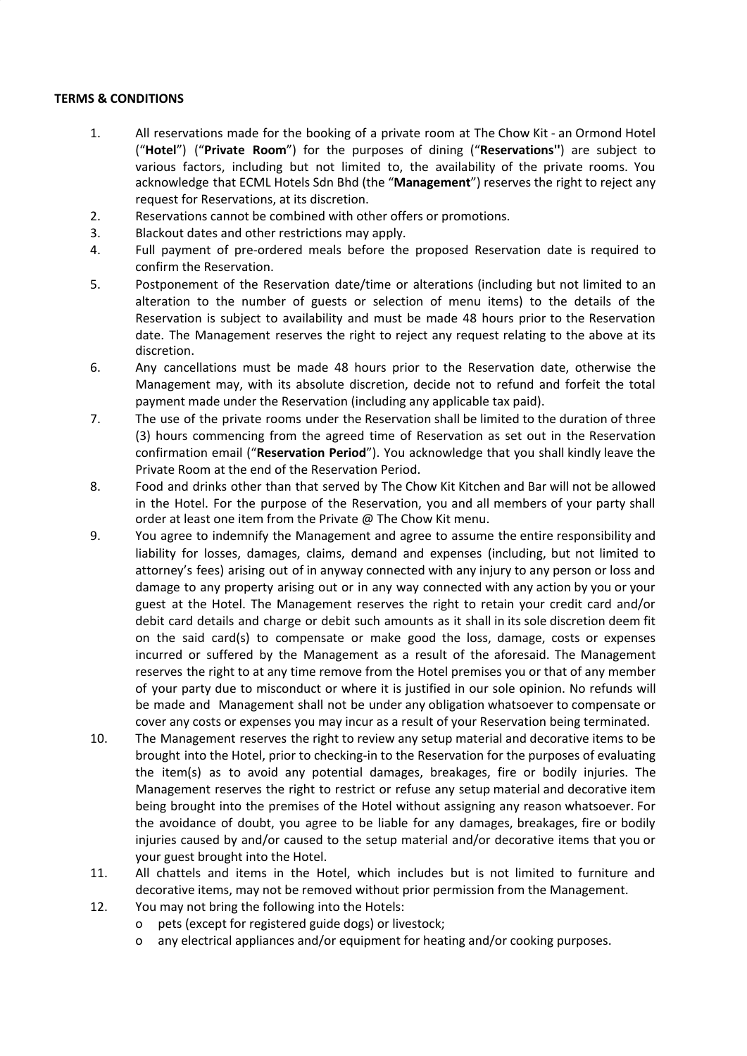## **TERMS & CONDITIONS**

- 1. All reservations made for the booking of a private room at The Chow Kit an Ormond Hotel ("**Hotel**") ("**Private Room**") for the purposes of dining ("**Reservations''**) are subject to various factors, including but not limited to, the availability of the private rooms. You acknowledge that ECML Hotels Sdn Bhd (the "**Management**") reserves the right to reject any request for Reservations, at its discretion.
- 2. Reservations cannot be combined with other offers or promotions.
- 3. Blackout dates and other restrictions may apply.
- 4. Full payment of pre-ordered meals before the proposed Reservation date is required to confirm the Reservation.
- 5. Postponement of the Reservation date/time or alterations (including but not limited to an alteration to the number of guests or selection of menu items) to the details of the Reservation is subject to availability and must be made 48 hours prior to the Reservation date. The Management reserves the right to reject any request relating to the above at its discretion.
- 6. Any cancellations must be made 48 hours prior to the Reservation date, otherwise the Management may, with its absolute discretion, decide not to refund and forfeit the total payment made under the Reservation (including any applicable tax paid).
- 7. The use of the private rooms under the Reservation shall be limited to the duration of three (3) hours commencing from the agreed time of Reservation as set out in the Reservation confirmation email ("**Reservation Period**"). You acknowledge that you shall kindly leave the Private Room at the end of the Reservation Period.
- 8. Food and drinks other than that served by The Chow Kit Kitchen and Bar will not be allowed in the Hotel. For the purpose of the Reservation, you and all members of your party shall order at least one item from the Private @ The Chow Kit menu.
- 9. You agree to indemnify the Management and agree to assume the entire responsibility and liability for losses, damages, claims, demand and expenses (including, but not limited to attorney's fees) arising out of in anyway connected with any injury to any person or loss and damage to any property arising out or in any way connected with any action by you or your guest at the Hotel. The Management reserves the right to retain your credit card and/or debit card details and charge or debit such amounts as it shall in its sole discretion deem fit on the said card(s) to compensate or make good the loss, damage, costs or expenses incurred or suffered by the Management as a result of the aforesaid. The Management reserves the right to at any time remove from the Hotel premises you or that of any member of your party due to misconduct or where it is justified in our sole opinion. No refunds will be made and Management shall not be under any obligation whatsoever to compensate or cover any costs or expenses you may incur as a result of your Reservation being terminated.
- 10. The Management reserves the right to review any setup material and decorative items to be brought into the Hotel, prior to checking-in to the Reservation for the purposes of evaluating the item(s) as to avoid any potential damages, breakages, fire or bodily injuries. The Management reserves the right to restrict or refuse any setup material and decorative item being brought into the premises of the Hotel without assigning any reason whatsoever. For the avoidance of doubt, you agree to be liable for any damages, breakages, fire or bodily injuries caused by and/or caused to the setup material and/or decorative items that you or your guest brought into the Hotel.
- 11. All chattels and items in the Hotel, which includes but is not limited to furniture and decorative items, may not be removed without prior permission from the Management.
- 12. You may not bring the following into the Hotels:
	- o pets (except for registered guide dogs) or livestock;
	- o any electrical appliances and/or equipment for heating and/or cooking purposes.